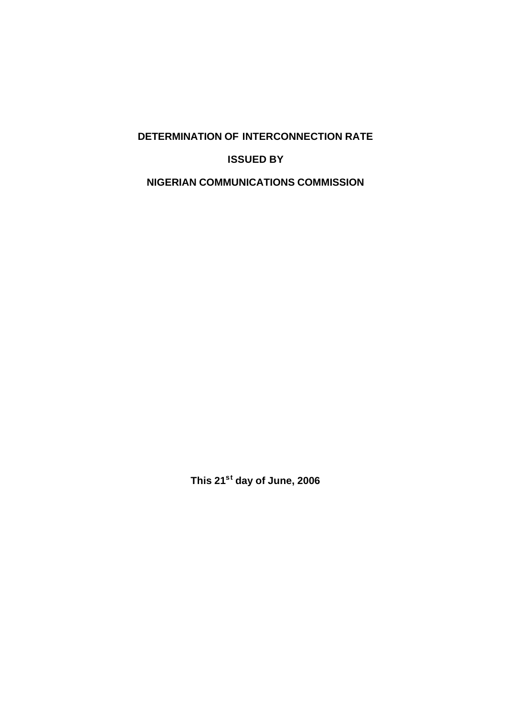# **DETERMINATION OF INTERCONNECTION RATE**

### **ISSUED BY**

# **NIGERIAN COMMUNICATIONS COMMISSION**

**This 21st day of June, 2006**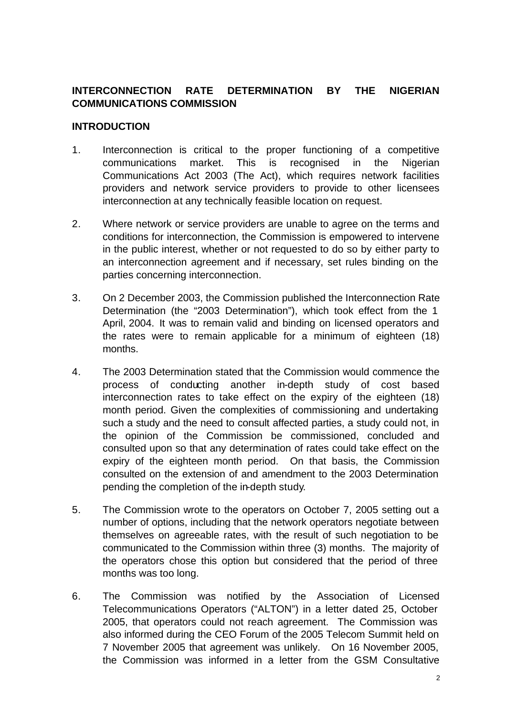# **INTERCONNECTION RATE DETERMINATION BY THE NIGERIAN COMMUNICATIONS COMMISSION**

#### **INTRODUCTION**

- 1. Interconnection is critical to the proper functioning of a competitive communications market. This is recognised in the Nigerian Communications Act 2003 (The Act), which requires network facilities providers and network service providers to provide to other licensees interconnection at any technically feasible location on request.
- 2. Where network or service providers are unable to agree on the terms and conditions for interconnection, the Commission is empowered to intervene in the public interest, whether or not requested to do so by either party to an interconnection agreement and if necessary, set rules binding on the parties concerning interconnection.
- 3. On 2 December 2003, the Commission published the Interconnection Rate Determination (the "2003 Determination"), which took effect from the 1 April, 2004. It was to remain valid and binding on licensed operators and the rates were to remain applicable for a minimum of eighteen (18) months.
- 4. The 2003 Determination stated that the Commission would commence the process of conducting another in-depth study of cost based interconnection rates to take effect on the expiry of the eighteen (18) month period. Given the complexities of commissioning and undertaking such a study and the need to consult affected parties, a study could not, in the opinion of the Commission be commissioned, concluded and consulted upon so that any determination of rates could take effect on the expiry of the eighteen month period. On that basis, the Commission consulted on the extension of and amendment to the 2003 Determination pending the completion of the in-depth study.
- 5. The Commission wrote to the operators on October 7, 2005 setting out a number of options, including that the network operators negotiate between themselves on agreeable rates, with the result of such negotiation to be communicated to the Commission within three (3) months. The majority of the operators chose this option but considered that the period of three months was too long.
- 6. The Commission was notified by the Association of Licensed Telecommunications Operators ("ALTON") in a letter dated 25, October 2005, that operators could not reach agreement. The Commission was also informed during the CEO Forum of the 2005 Telecom Summit held on 7 November 2005 that agreement was unlikely. On 16 November 2005, the Commission was informed in a letter from the GSM Consultative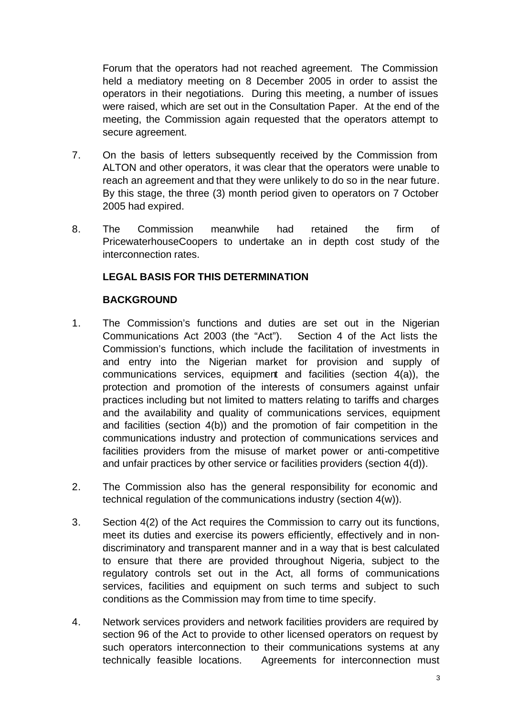Forum that the operators had not reached agreement. The Commission held a mediatory meeting on 8 December 2005 in order to assist the operators in their negotiations. During this meeting, a number of issues were raised, which are set out in the Consultation Paper. At the end of the meeting, the Commission again requested that the operators attempt to secure agreement.

- 7. On the basis of letters subsequently received by the Commission from ALTON and other operators, it was clear that the operators were unable to reach an agreement and that they were unlikely to do so in the near future. By this stage, the three (3) month period given to operators on 7 October 2005 had expired.
- 8. The Commission meanwhile had retained the firm of PricewaterhouseCoopers to undertake an in depth cost study of the interconnection rates.

# **LEGAL BASIS FOR THIS DETERMINATION**

# **BACKGROUND**

- 1. The Commission's functions and duties are set out in the Nigerian Communications Act 2003 (the "Act"). Section 4 of the Act lists the Commission's functions, which include the facilitation of investments in and entry into the Nigerian market for provision and supply of communications services, equipment and facilities (section 4(a)), the protection and promotion of the interests of consumers against unfair practices including but not limited to matters relating to tariffs and charges and the availability and quality of communications services, equipment and facilities (section 4(b)) and the promotion of fair competition in the communications industry and protection of communications services and facilities providers from the misuse of market power or anti-competitive and unfair practices by other service or facilities providers (section 4(d)).
- 2. The Commission also has the general responsibility for economic and technical regulation of the communications industry (section 4(w)).
- 3. Section 4(2) of the Act requires the Commission to carry out its functions, meet its duties and exercise its powers efficiently, effectively and in nondiscriminatory and transparent manner and in a way that is best calculated to ensure that there are provided throughout Nigeria, subject to the regulatory controls set out in the Act, all forms of communications services, facilities and equipment on such terms and subject to such conditions as the Commission may from time to time specify.
- 4. Network services providers and network facilities providers are required by section 96 of the Act to provide to other licensed operators on request by such operators interconnection to their communications systems at any technically feasible locations. Agreements for interconnection must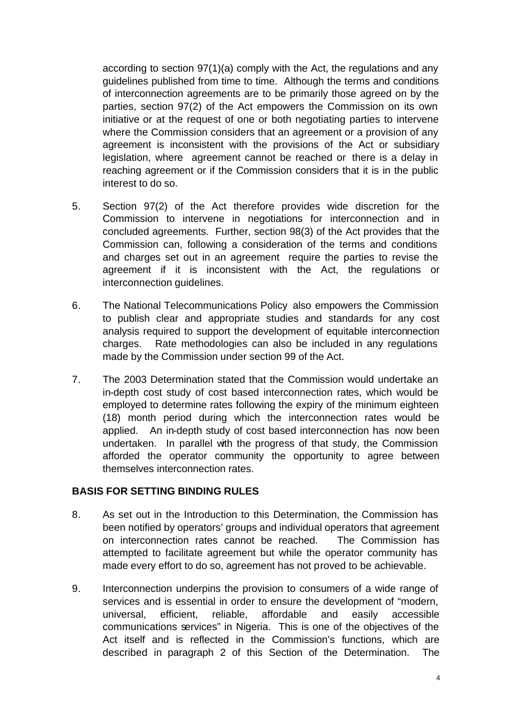according to section 97(1)(a) comply with the Act, the regulations and any guidelines published from time to time. Although the terms and conditions of interconnection agreements are to be primarily those agreed on by the parties, section 97(2) of the Act empowers the Commission on its own initiative or at the request of one or both negotiating parties to intervene where the Commission considers that an agreement or a provision of any agreement is inconsistent with the provisions of the Act or subsidiary legislation, where agreement cannot be reached or there is a delay in reaching agreement or if the Commission considers that it is in the public interest to do so.

- 5. Section 97(2) of the Act therefore provides wide discretion for the Commission to intervene in negotiations for interconnection and in concluded agreements. Further, section 98(3) of the Act provides that the Commission can, following a consideration of the terms and conditions and charges set out in an agreement require the parties to revise the agreement if it is inconsistent with the Act, the regulations or interconnection guidelines.
- 6. The National Telecommunications Policy also empowers the Commission to publish clear and appropriate studies and standards for any cost analysis required to support the development of equitable interconnection charges. Rate methodologies can also be included in any regulations made by the Commission under section 99 of the Act.
- 7. The 2003 Determination stated that the Commission would undertake an in-depth cost study of cost based interconnection rates, which would be employed to determine rates following the expiry of the minimum eighteen (18) month period during which the interconnection rates would be applied. An in-depth study of cost based interconnection has now been undertaken. In parallel with the progress of that study, the Commission afforded the operator community the opportunity to agree between themselves interconnection rates.

#### **BASIS FOR SETTING BINDING RULES**

- 8. As set out in the Introduction to this Determination, the Commission has been notified by operators' groups and individual operators that agreement on interconnection rates cannot be reached. The Commission has attempted to facilitate agreement but while the operator community has made every effort to do so, agreement has not proved to be achievable.
- 9. Interconnection underpins the provision to consumers of a wide range of services and is essential in order to ensure the development of "modern, universal, efficient, reliable, affordable and easily accessible communications services" in Nigeria. This is one of the objectives of the Act itself and is reflected in the Commission's functions, which are described in paragraph 2 of this Section of the Determination. The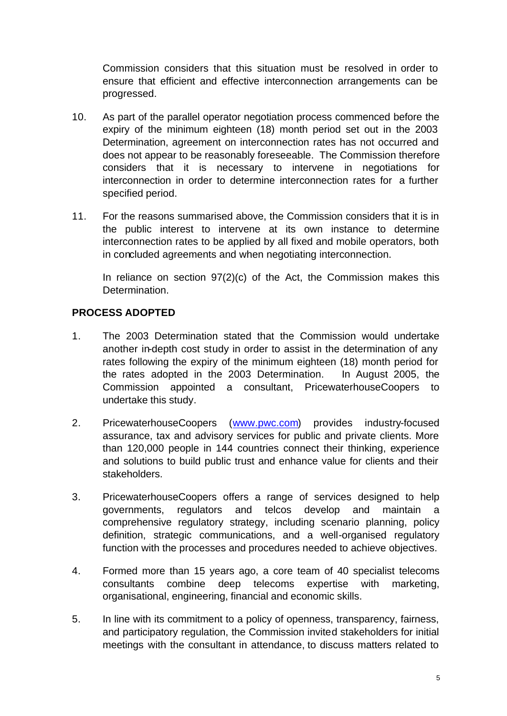Commission considers that this situation must be resolved in order to ensure that efficient and effective interconnection arrangements can be progressed.

- 10. As part of the parallel operator negotiation process commenced before the expiry of the minimum eighteen (18) month period set out in the 2003 Determination, agreement on interconnection rates has not occurred and does not appear to be reasonably foreseeable. The Commission therefore considers that it is necessary to intervene in negotiations for interconnection in order to determine interconnection rates for a further specified period.
- 11. For the reasons summarised above, the Commission considers that it is in the public interest to intervene at its own instance to determine interconnection rates to be applied by all fixed and mobile operators, both in concluded agreements and when negotiating interconnection.

In reliance on section  $97(2)(c)$  of the Act, the Commission makes this Determination.

# **PROCESS ADOPTED**

- 1. The 2003 Determination stated that the Commission would undertake another in-depth cost study in order to assist in the determination of any rates following the expiry of the minimum eighteen (18) month period for the rates adopted in the 2003 Determination. In August 2005, the Commission appointed a consultant, PricewaterhouseCoopers to undertake this study.
- 2. PricewaterhouseCoopers (www.pwc.com) provides industry-focused assurance, tax and advisory services for public and private clients. More than 120,000 people in 144 countries connect their thinking, experience and solutions to build public trust and enhance value for clients and their stakeholders.
- 3. PricewaterhouseCoopers offers a range of services designed to help governments, regulators and telcos develop and maintain a comprehensive regulatory strategy, including scenario planning, policy definition, strategic communications, and a well-organised regulatory function with the processes and procedures needed to achieve objectives.
- 4. Formed more than 15 years ago, a core team of 40 specialist telecoms consultants combine deep telecoms expertise with marketing, organisational, engineering, financial and economic skills.
- 5. In line with its commitment to a policy of openness, transparency, fairness, and participatory regulation, the Commission invited stakeholders for initial meetings with the consultant in attendance, to discuss matters related to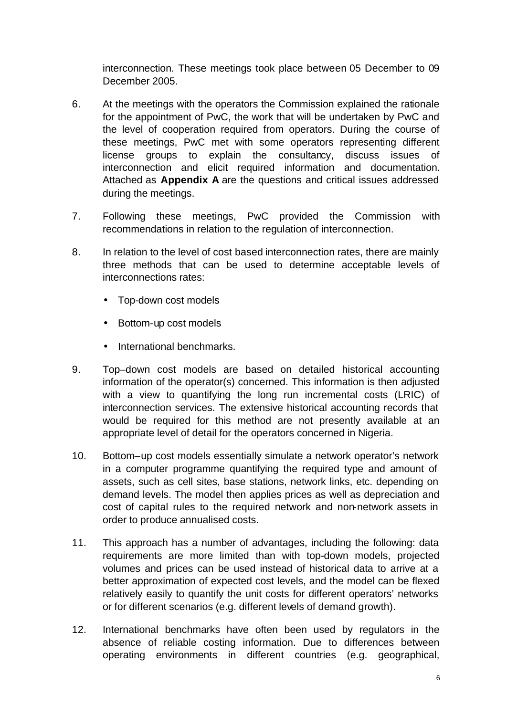interconnection. These meetings took place between 05 December to 09 December 2005.

- 6. At the meetings with the operators the Commission explained the rationale for the appointment of PwC, the work that will be undertaken by PwC and the level of cooperation required from operators. During the course of these meetings, PwC met with some operators representing different license groups to explain the consultancy, discuss issues of interconnection and elicit required information and documentation. Attached as **Appendix A** are the questions and critical issues addressed during the meetings.
- 7. Following these meetings, PwC provided the Commission with recommendations in relation to the regulation of interconnection.
- 8. In relation to the level of cost based interconnection rates, there are mainly three methods that can be used to determine acceptable levels of interconnections rates:
	- Top-down cost models
	- Bottom-up cost models
	- International benchmarks.
- 9. Top–down cost models are based on detailed historical accounting information of the operator(s) concerned. This information is then adjusted with a view to quantifying the long run incremental costs (LRIC) of interconnection services. The extensive historical accounting records that would be required for this method are not presently available at an appropriate level of detail for the operators concerned in Nigeria.
- 10. Bottom–up cost models essentially simulate a network operator's network in a computer programme quantifying the required type and amount of assets, such as cell sites, base stations, network links, etc. depending on demand levels. The model then applies prices as well as depreciation and cost of capital rules to the required network and non-network assets in order to produce annualised costs.
- 11. This approach has a number of advantages, including the following: data requirements are more limited than with top-down models, projected volumes and prices can be used instead of historical data to arrive at a better approximation of expected cost levels, and the model can be flexed relatively easily to quantify the unit costs for different operators' networks or for different scenarios (e.g. different levels of demand growth).
- 12. International benchmarks have often been used by regulators in the absence of reliable costing information. Due to differences between operating environments in different countries (e.g. geographical,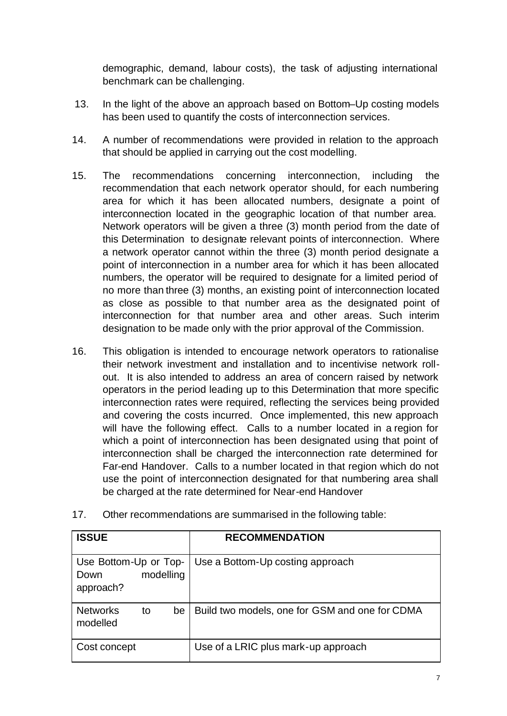demographic, demand, labour costs), the task of adjusting international benchmark can be challenging.

- 13. In the light of the above an approach based on Bottom–Up costing models has been used to quantify the costs of interconnection services.
- 14. A number of recommendations were provided in relation to the approach that should be applied in carrying out the cost modelling.
- 15. The recommendations concerning interconnection, including the recommendation that each network operator should, for each numbering area for which it has been allocated numbers, designate a point of interconnection located in the geographic location of that number area. Network operators will be given a three (3) month period from the date of this Determination to designate relevant points of interconnection. Where a network operator cannot within the three (3) month period designate a point of interconnection in a number area for which it has been allocated numbers, the operator will be required to designate for a limited period of no more than three (3) months, an existing point of interconnection located as close as possible to that number area as the designated point of interconnection for that number area and other areas. Such interim designation to be made only with the prior approval of the Commission.
- 16. This obligation is intended to encourage network operators to rationalise their network investment and installation and to incentivise network rollout. It is also intended to address an area of concern raised by network operators in the period leading up to this Determination that more specific interconnection rates were required, reflecting the services being provided and covering the costs incurred.Once implemented, this new approach will have the following effect. Calls to a number located in a region for which a point of interconnection has been designated using that point of interconnection shall be charged the interconnection rate determined for Far-end Handover. Calls to a number located in that region which do not use the point of interconnection designated for that numbering area shall be charged at the rate determined for Near-end Handover
- 17. Other recommendations are summarised in the following table:

| <b>ISSUE</b>                                            | <b>RECOMMENDATION</b>                          |  |  |  |  |  |  |  |
|---------------------------------------------------------|------------------------------------------------|--|--|--|--|--|--|--|
| Use Bottom-Up or Top-<br>modelling<br>Down<br>approach? | Use a Bottom-Up costing approach               |  |  |  |  |  |  |  |
| <b>Networks</b><br>be<br>to<br>modelled                 | Build two models, one for GSM and one for CDMA |  |  |  |  |  |  |  |
| Cost concept                                            | Use of a LRIC plus mark-up approach            |  |  |  |  |  |  |  |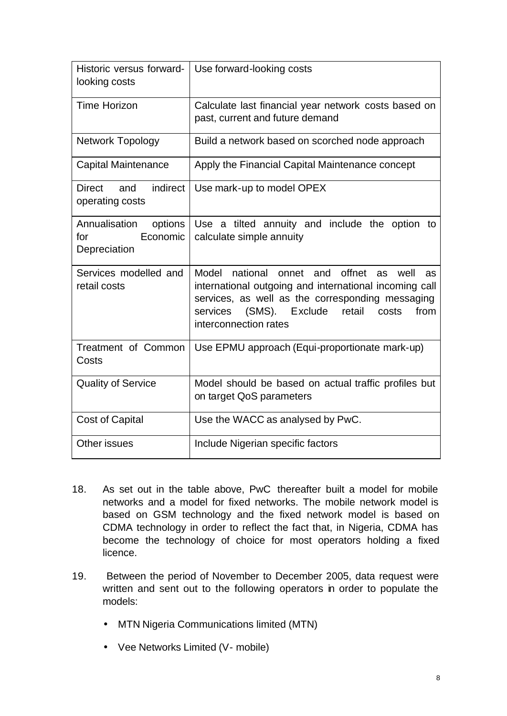| Historic versus forward-<br>looking costs                   | Use forward-looking costs                                                                                                                                                                                                                                       |  |  |  |  |  |  |
|-------------------------------------------------------------|-----------------------------------------------------------------------------------------------------------------------------------------------------------------------------------------------------------------------------------------------------------------|--|--|--|--|--|--|
| <b>Time Horizon</b>                                         | Calculate last financial year network costs based on<br>past, current and future demand                                                                                                                                                                         |  |  |  |  |  |  |
| <b>Network Topology</b>                                     | Build a network based on scorched node approach                                                                                                                                                                                                                 |  |  |  |  |  |  |
| <b>Capital Maintenance</b>                                  | Apply the Financial Capital Maintenance concept                                                                                                                                                                                                                 |  |  |  |  |  |  |
| indirect<br><b>Direct</b><br>and<br>operating costs         | Use mark-up to model OPEX                                                                                                                                                                                                                                       |  |  |  |  |  |  |
| Annualisation<br>options<br>Economic<br>for<br>Depreciation | Use a tilted annuity and include the option to<br>calculate simple annuity                                                                                                                                                                                      |  |  |  |  |  |  |
| Services modelled and<br>retail costs                       | Model<br>offnet<br>national<br>onnet<br>and<br>well<br>as<br>as<br>international outgoing and international incoming call<br>services, as well as the corresponding messaging<br>(SMS). Exclude<br>retail<br>services<br>costs<br>from<br>interconnection rates |  |  |  |  |  |  |
| Treatment of Common<br>Costs                                | Use EPMU approach (Equi-proportionate mark-up)                                                                                                                                                                                                                  |  |  |  |  |  |  |
| <b>Quality of Service</b>                                   | Model should be based on actual traffic profiles but<br>on target QoS parameters                                                                                                                                                                                |  |  |  |  |  |  |
| <b>Cost of Capital</b>                                      | Use the WACC as analysed by PwC.                                                                                                                                                                                                                                |  |  |  |  |  |  |
| Other issues                                                | Include Nigerian specific factors                                                                                                                                                                                                                               |  |  |  |  |  |  |

- 18. As set out in the table above, PwC thereafter built a model for mobile networks and a model for fixed networks. The mobile network model is based on GSM technology and the fixed network model is based on CDMA technology in order to reflect the fact that, in Nigeria, CDMA has become the technology of choice for most operators holding a fixed licence.
- 19. Between the period of November to December 2005, data request were written and sent out to the following operators in order to populate the models:
	- MTN Nigeria Communications limited (MTN)
	- Vee Networks Limited (V- mobile)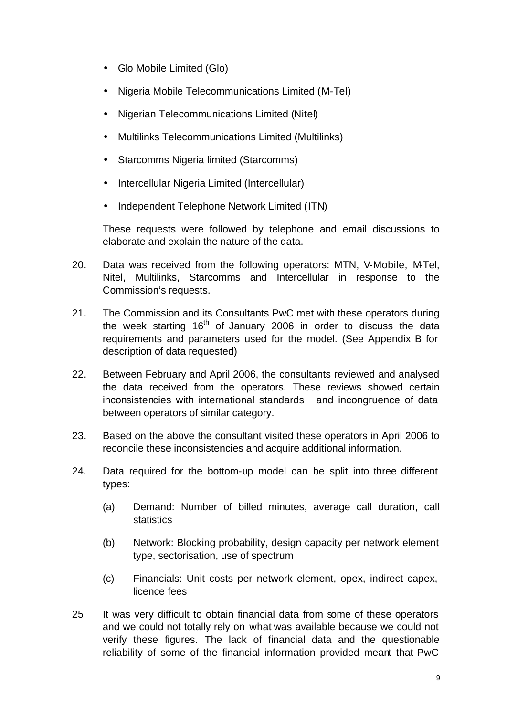- Glo Mobile Limited (Glo)
- Nigeria Mobile Telecommunications Limited (M-Tel)
- Nigerian Telecommunications Limited (Nitel)
- Multilinks Telecommunications Limited (Multilinks)
- Starcomms Nigeria limited (Starcomms)
- Intercellular Nigeria Limited (Intercellular)
- Independent Telephone Network Limited (ITN)

These requests were followed by telephone and email discussions to elaborate and explain the nature of the data.

- 20. Data was received from the following operators: MTN, V-Mobile, M-Tel, Nitel, Multilinks, Starcomms and Intercellular in response to the Commission's requests.
- 21. The Commission and its Consultants PwC met with these operators during the week starting  $16<sup>th</sup>$  of January 2006 in order to discuss the data requirements and parameters used for the model. (See Appendix B for description of data requested)
- 22. Between February and April 2006, the consultants reviewed and analysed the data received from the operators. These reviews showed certain inconsistencies with international standards and incongruence of data between operators of similar category.
- 23. Based on the above the consultant visited these operators in April 2006 to reconcile these inconsistencies and acquire additional information.
- 24. Data required for the bottom-up model can be split into three different types:
	- (a) Demand: Number of billed minutes, average call duration, call statistics
	- (b) Network: Blocking probability, design capacity per network element type, sectorisation, use of spectrum
	- (c) Financials: Unit costs per network element, opex, indirect capex, licence fees
- 25 It was very difficult to obtain financial data from some of these operators and we could not totally rely on what was available because we could not verify these figures. The lack of financial data and the questionable reliability of some of the financial information provided meant that PwC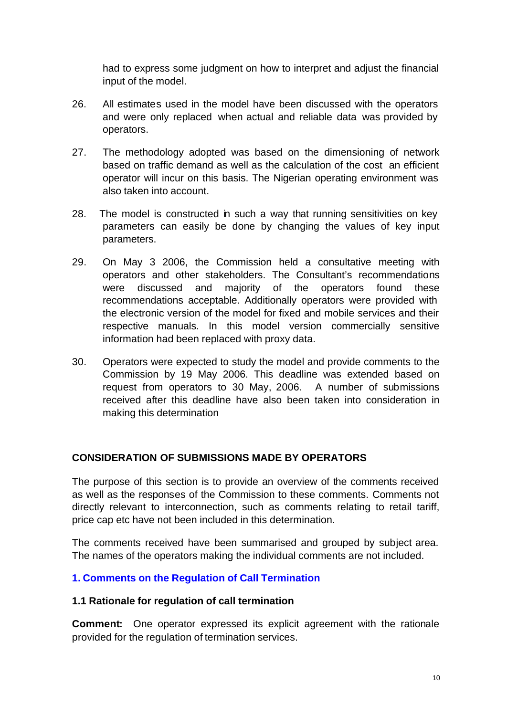had to express some judgment on how to interpret and adjust the financial input of the model.

- 26. All estimates used in the model have been discussed with the operators and were only replaced when actual and reliable data was provided by operators.
- 27. The methodology adopted was based on the dimensioning of network based on traffic demand as well as the calculation of the cost an efficient operator will incur on this basis. The Nigerian operating environment was also taken into account.
- 28. The model is constructed in such a way that running sensitivities on key parameters can easily be done by changing the values of key input parameters.
- 29. On May 3 2006, the Commission held a consultative meeting with operators and other stakeholders. The Consultant's recommendations were discussed and majority of the operators found these recommendations acceptable. Additionally operators were provided with the electronic version of the model for fixed and mobile services and their respective manuals. In this model version commercially sensitive information had been replaced with proxy data.
- 30. Operators were expected to study the model and provide comments to the Commission by 19 May 2006. This deadline was extended based on request from operators to 30 May, 2006. A number of submissions received after this deadline have also been taken into consideration in making this determination

### **CONSIDERATION OF SUBMISSIONS MADE BY OPERATORS**

The purpose of this section is to provide an overview of the comments received as well as the responses of the Commission to these comments. Comments not directly relevant to interconnection, such as comments relating to retail tariff, price cap etc have not been included in this determination.

The comments received have been summarised and grouped by subject area. The names of the operators making the individual comments are not included.

# **1. Comments on the Regulation of Call Termination**

#### **1.1 Rationale for regulation of call termination**

**Comment:** One operator expressed its explicit agreement with the rationale provided for the regulation of termination services.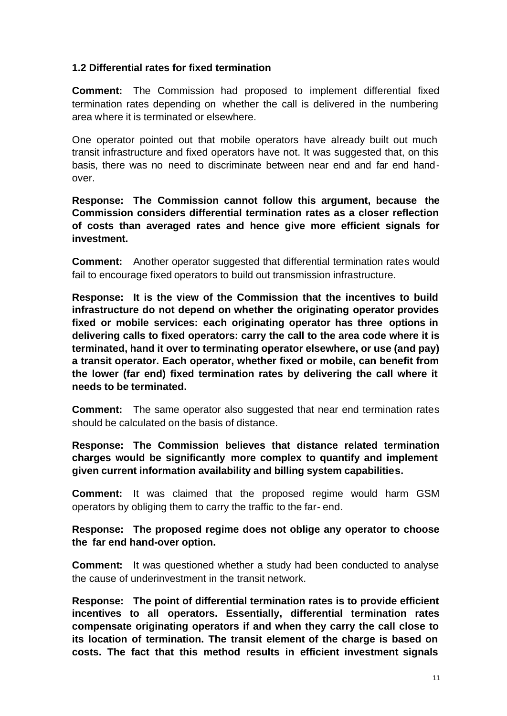### **1.2 Differential rates for fixed termination**

**Comment:** The Commission had proposed to implement differential fixed termination rates depending on whether the call is delivered in the numbering area where it is terminated or elsewhere.

One operator pointed out that mobile operators have already built out much transit infrastructure and fixed operators have not. It was suggested that, on this basis, there was no need to discriminate between near end and far end handover.

**Response: The Commission cannot follow this argument, because the Commission considers differential termination rates as a closer reflection of costs than averaged rates and hence give more efficient signals for investment.**

**Comment:** Another operator suggested that differential termination rates would fail to encourage fixed operators to build out transmission infrastructure.

**Response: It is the view of the Commission that the incentives to build infrastructure do not depend on whether the originating operator provides fixed or mobile services: each originating operator has three options in delivering calls to fixed operators: carry the call to the area code where it is terminated, hand it over to terminating operator elsewhere, or use (and pay) a transit operator. Each operator, whether fixed or mobile, can benefit from the lower (far end) fixed termination rates by delivering the call where it needs to be terminated.**

**Comment:** The same operator also suggested that near end termination rates should be calculated on the basis of distance.

**Response: The Commission believes that distance related termination charges would be significantly more complex to quantify and implement given current information availability and billing system capabilities.** 

**Comment:** It was claimed that the proposed regime would harm GSM operators by obliging them to carry the traffic to the far- end.

**Response: The proposed regime does not oblige any operator to choose the far end hand-over option.**

**Comment:** It was questioned whether a study had been conducted to analyse the cause of underinvestment in the transit network.

**Response: The point of differential termination rates is to provide efficient incentives to all operators. Essentially, differential termination rates compensate originating operators if and when they carry the call close to its location of termination. The transit element of the charge is based on costs. The fact that this method results in efficient investment signals**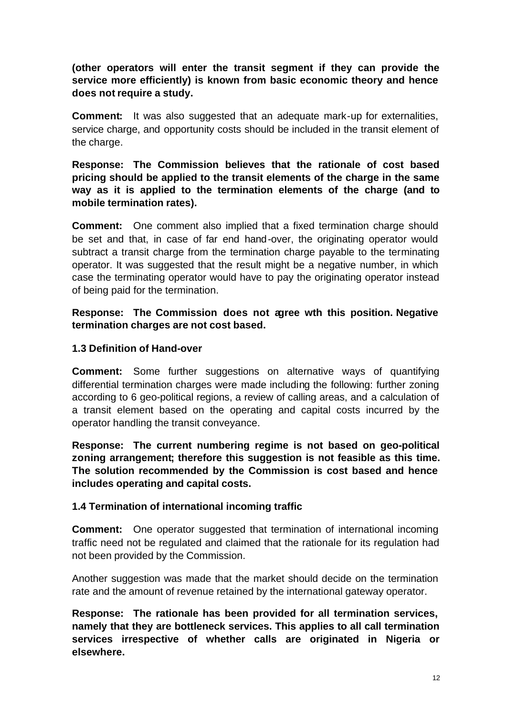**(other operators will enter the transit segment if they can provide the service more efficiently) is known from basic economic theory and hence does not require a study.**

**Comment:** It was also suggested that an adequate mark-up for externalities, service charge, and opportunity costs should be included in the transit element of the charge.

**Response: The Commission believes that the rationale of cost based pricing should be applied to the transit elements of the charge in the same way as it is applied to the termination elements of the charge (and to mobile termination rates).**

**Comment:** One comment also implied that a fixed termination charge should be set and that, in case of far end hand-over, the originating operator would subtract a transit charge from the termination charge payable to the terminating operator. It was suggested that the result might be a negative number, in which case the terminating operator would have to pay the originating operator instead of being paid for the termination.

**Response: The Commission does not agree wth this position. Negative termination charges are not cost based.**

### **1.3 Definition of Hand-over**

**Comment:** Some further suggestions on alternative ways of quantifying differential termination charges were made including the following: further zoning according to 6 geo-political regions, a review of calling areas, and a calculation of a transit element based on the operating and capital costs incurred by the operator handling the transit conveyance.

**Response: The current numbering regime is not based on geo-political zoning arrangement; therefore this suggestion is not feasible as this time. The solution recommended by the Commission is cost based and hence includes operating and capital costs.**

#### **1.4 Termination of international incoming traffic**

**Comment:** One operator suggested that termination of international incoming traffic need not be regulated and claimed that the rationale for its regulation had not been provided by the Commission.

Another suggestion was made that the market should decide on the termination rate and the amount of revenue retained by the international gateway operator.

**Response: The rationale has been provided for all termination services, namely that they are bottleneck services. This applies to all call termination services irrespective of whether calls are originated in Nigeria or elsewhere.**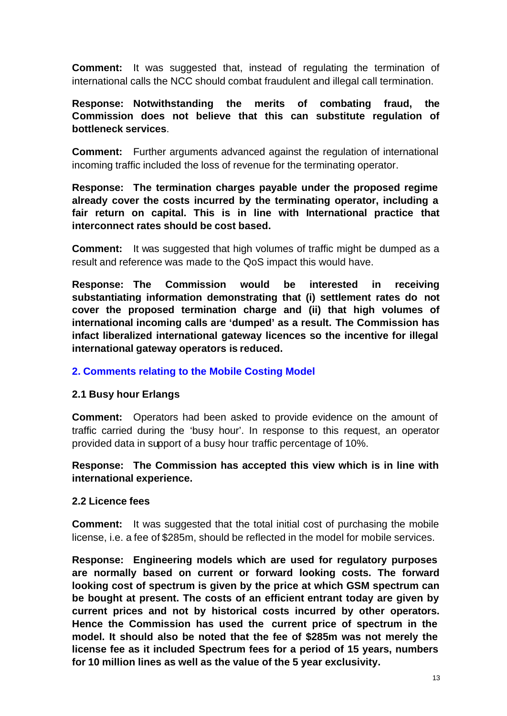**Comment:** It was suggested that, instead of regulating the termination of international calls the NCC should combat fraudulent and illegal call termination.

### **Response: Notwithstanding the merits of combating fraud, the Commission does not believe that this can substitute regulation of bottleneck services**.

**Comment:** Further arguments advanced against the regulation of international incoming traffic included the loss of revenue for the terminating operator.

**Response: The termination charges payable under the proposed regime already cover the costs incurred by the terminating operator, including a fair return on capital. This is in line with International practice that interconnect rates should be cost based.**

**Comment:** It was suggested that high volumes of traffic might be dumped as a result and reference was made to the QoS impact this would have.

**Response: The Commission would be interested in receiving substantiating information demonstrating that (i) settlement rates do not cover the proposed termination charge and (ii) that high volumes of international incoming calls are 'dumped' as a result. The Commission has infact liberalized international gateway licences so the incentive for illegal international gateway operators is reduced.**

#### **2. Comments relating to the Mobile Costing Model**

#### **2.1 Busy hour Erlangs**

**Comment:** Operators had been asked to provide evidence on the amount of traffic carried during the 'busy hour'. In response to this request, an operator provided data in support of a busy hour traffic percentage of 10%.

### **Response: The Commission has accepted this view which is in line with international experience.**

#### **2.2 Licence fees**

**Comment:** It was suggested that the total initial cost of purchasing the mobile license, i.e. a fee of \$285m, should be reflected in the model for mobile services.

**Response: Engineering models which are used for regulatory purposes are normally based on current or forward looking costs. The forward looking cost of spectrum is given by the price at which GSM spectrum can be bought at present. The costs of an efficient entrant today are given by current prices and not by historical costs incurred by other operators. Hence the Commission has used the current price of spectrum in the model. It should also be noted that the fee of \$285m was not merely the license fee as it included Spectrum fees for a period of 15 years, numbers for 10 million lines as well as the value of the 5 year exclusivity.**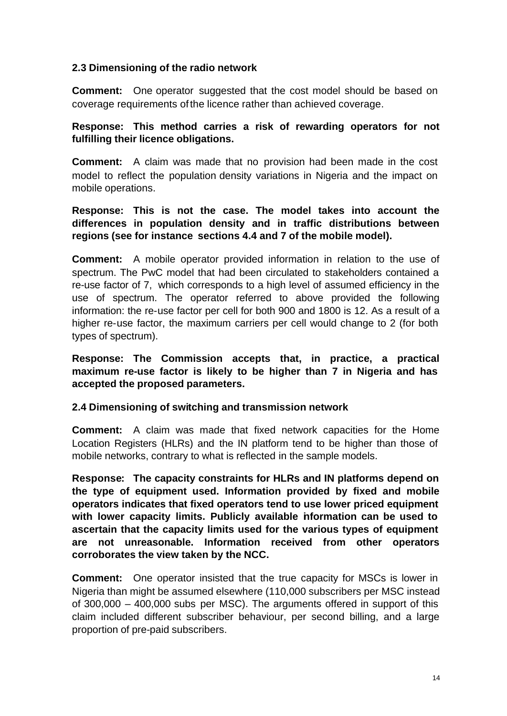### **2.3 Dimensioning of the radio network**

**Comment:** One operator suggested that the cost model should be based on coverage requirements ofthe licence rather than achieved coverage.

### **Response: This method carries a risk of rewarding operators for not fulfilling their licence obligations.**

**Comment:** A claim was made that no provision had been made in the cost model to reflect the population density variations in Nigeria and the impact on mobile operations.

## **Response: This is not the case. The model takes into account the differences in population density and in traffic distributions between regions (see for instance sections 4.4 and 7 of the mobile model).**

**Comment:** A mobile operator provided information in relation to the use of spectrum. The PwC model that had been circulated to stakeholders contained a re-use factor of 7, which corresponds to a high level of assumed efficiency in the use of spectrum. The operator referred to above provided the following information: the re-use factor per cell for both 900 and 1800 is 12. As a result of a higher re-use factor, the maximum carriers per cell would change to 2 (for both types of spectrum).

**Response: The Commission accepts that, in practice, a practical maximum re-use factor is likely to be higher than 7 in Nigeria and has accepted the proposed parameters.**

# **2.4 Dimensioning of switching and transmission network**

**Comment:** A claim was made that fixed network capacities for the Home Location Registers (HLRs) and the IN platform tend to be higher than those of mobile networks, contrary to what is reflected in the sample models.

**Response: The capacity constraints for HLRs and IN platforms depend on the type of equipment used. Information provided by fixed and mobile operators indicates that fixed operators tend to use lower priced equipment with lower capacity limits. Publicly available information can be used to ascertain that the capacity limits used for the various types of equipment are not unreasonable. Information received from other operators corroborates the view taken by the NCC.**

**Comment:** One operator insisted that the true capacity for MSCs is lower in Nigeria than might be assumed elsewhere (110,000 subscribers per MSC instead of 300,000 – 400,000 subs per MSC). The arguments offered in support of this claim included different subscriber behaviour, per second billing, and a large proportion of pre-paid subscribers.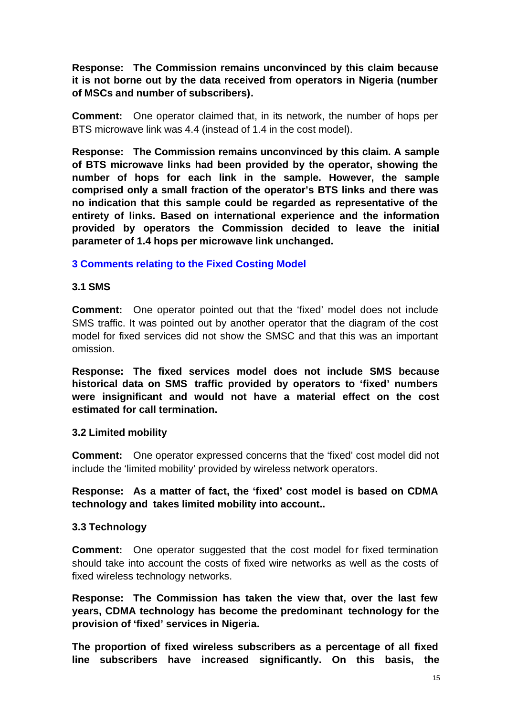**Response: The Commission remains unconvinced by this claim because it is not borne out by the data received from operators in Nigeria (number of MSCs and number of subscribers).**

**Comment:** One operator claimed that, in its network, the number of hops per BTS microwave link was 4.4 (instead of 1.4 in the cost model).

**Response: The Commission remains unconvinced by this claim. A sample of BTS microwave links had been provided by the operator, showing the number of hops for each link in the sample. However, the sample comprised only a small fraction of the operator's BTS links and there was no indication that this sample could be regarded as representative of the entirety of links. Based on international experience and the information provided by operators the Commission decided to leave the initial parameter of 1.4 hops per microwave link unchanged.**

### **3 Comments relating to the Fixed Costing Model**

#### **3.1 SMS**

**Comment:** One operator pointed out that the 'fixed' model does not include SMS traffic. It was pointed out by another operator that the diagram of the cost model for fixed services did not show the SMSC and that this was an important omission.

**Response: The fixed services model does not include SMS because historical data on SMS traffic provided by operators to 'fixed' numbers were insignificant and would not have a material effect on the cost estimated for call termination.**

#### **3.2 Limited mobility**

**Comment:** One operator expressed concerns that the 'fixed' cost model did not include the 'limited mobility' provided by wireless network operators.

### **Response: As a matter of fact, the 'fixed' cost model is based on CDMA technology and takes limited mobility into account..**

#### **3.3 Technology**

**Comment:** One operator suggested that the cost model for fixed termination should take into account the costs of fixed wire networks as well as the costs of fixed wireless technology networks.

**Response: The Commission has taken the view that, over the last few years, CDMA technology has become the predominant technology for the provision of 'fixed' services in Nigeria.**

**The proportion of fixed wireless subscribers as a percentage of all fixed line subscribers have increased significantly. On this basis, the**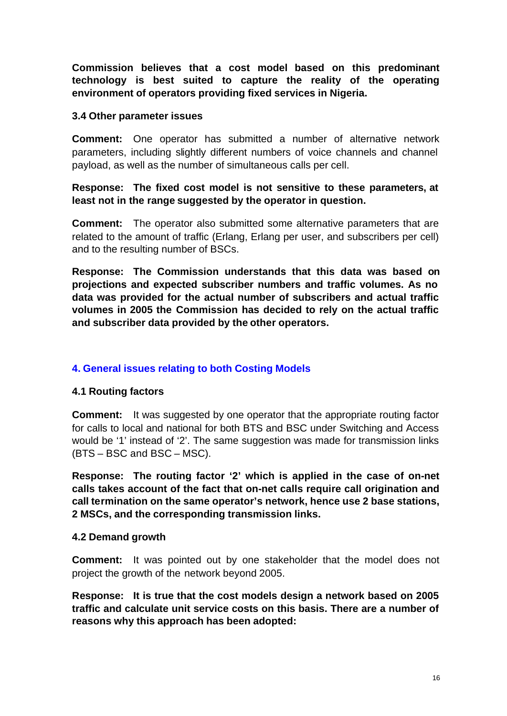**Commission believes that a cost model based on this predominant technology is best suited to capture the reality of the operating environment of operators providing fixed services in Nigeria.**

#### **3.4 Other parameter issues**

**Comment:** One operator has submitted a number of alternative network parameters, including slightly different numbers of voice channels and channel payload, as well as the number of simultaneous calls per cell.

# **Response: The fixed cost model is not sensitive to these parameters, at least not in the range suggested by the operator in question.**

**Comment:** The operator also submitted some alternative parameters that are related to the amount of traffic (Erlang, Erlang per user, and subscribers per cell) and to the resulting number of BSCs.

**Response: The Commission understands that this data was based on projections and expected subscriber numbers and traffic volumes. As no data was provided for the actual number of subscribers and actual traffic volumes in 2005 the Commission has decided to rely on the actual traffic and subscriber data provided by the other operators.**

# **4. General issues relating to both Costing Models**

# **4.1 Routing factors**

**Comment:** It was suggested by one operator that the appropriate routing factor for calls to local and national for both BTS and BSC under Switching and Access would be '1' instead of '2'. The same suggestion was made for transmission links (BTS – BSC and BSC – MSC).

**Response: The routing factor '2' which is applied in the case of on-net calls takes account of the fact that on-net calls require call origination and call termination on the same operator's network, hence use 2 base stations, 2 MSCs, and the corresponding transmission links.**

#### **4.2 Demand growth**

**Comment:** It was pointed out by one stakeholder that the model does not project the growth of the network beyond 2005.

**Response: It is true that the cost models design a network based on 2005 traffic and calculate unit service costs on this basis. There are a number of reasons why this approach has been adopted:**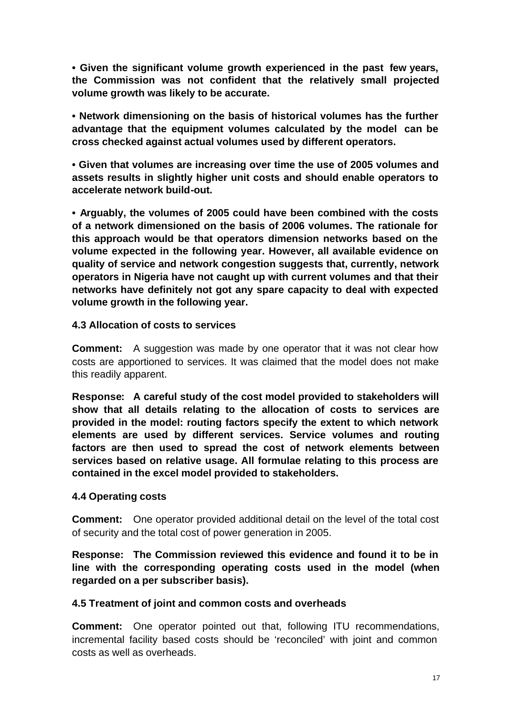**• Given the significant volume growth experienced in the past few years, the Commission was not confident that the relatively small projected volume growth was likely to be accurate.**

**• Network dimensioning on the basis of historical volumes has the further advantage that the equipment volumes calculated by the model can be cross checked against actual volumes used by different operators.**

**• Given that volumes are increasing over time the use of 2005 volumes and assets results in slightly higher unit costs and should enable operators to accelerate network build-out.**

**• Arguably, the volumes of 2005 could have been combined with the costs of a network dimensioned on the basis of 2006 volumes. The rationale for this approach would be that operators dimension networks based on the volume expected in the following year. However, all available evidence on quality of service and network congestion suggests that, currently, network operators in Nigeria have not caught up with current volumes and that their networks have definitely not got any spare capacity to deal with expected volume growth in the following year.**

#### **4.3 Allocation of costs to services**

**Comment:** A suggestion was made by one operator that it was not clear how costs are apportioned to services. It was claimed that the model does not make this readily apparent.

**Response: A careful study of the cost model provided to stakeholders will show that all details relating to the allocation of costs to services are provided in the model: routing factors specify the extent to which network elements are used by different services. Service volumes and routing factors are then used to spread the cost of network elements between services based on relative usage. All formulae relating to this process are contained in the excel model provided to stakeholders.**

#### **4.4 Operating costs**

**Comment:** One operator provided additional detail on the level of the total cost of security and the total cost of power generation in 2005.

**Response: The Commission reviewed this evidence and found it to be in line with the corresponding operating costs used in the model (when regarded on a per subscriber basis).**

#### **4.5 Treatment of joint and common costs and overheads**

**Comment:** One operator pointed out that, following ITU recommendations, incremental facility based costs should be 'reconciled' with joint and common costs as well as overheads.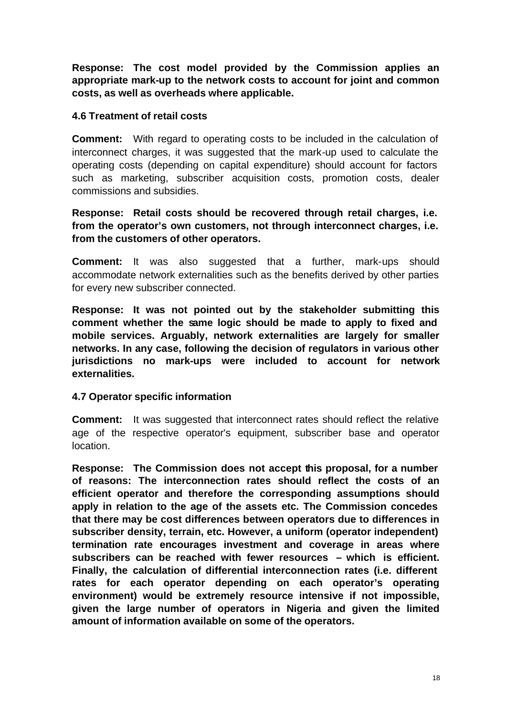**Response: The cost model provided by the Commission applies an appropriate mark-up to the network costs to account for joint and common costs, as well as overheads where applicable.**

#### **4.6 Treatment of retail costs**

**Comment:** With regard to operating costs to be included in the calculation of interconnect charges, it was suggested that the mark-up used to calculate the operating costs (depending on capital expenditure) should account for factors such as marketing, subscriber acquisition costs, promotion costs, dealer commissions and subsidies.

**Response: Retail costs should be recovered through retail charges, i.e. from the operator's own customers, not through interconnect charges, i.e. from the customers of other operators.**

**Comment:** It was also suggested that a further, mark-ups should accommodate network externalities such as the benefits derived by other parties for every new subscriber connected.

**Response: It was not pointed out by the stakeholder submitting this comment whether the same logic should be made to apply to fixed and mobile services. Arguably, network externalities are largely for smaller networks. In any case, following the decision of regulators in various other jurisdictions no mark-ups were included to account for network externalities.**

#### **4.7 Operator specific information**

**Comment:** It was suggested that interconnect rates should reflect the relative age of the respective operator's equipment, subscriber base and operator location.

**Response: The Commission does not accept this proposal, for a number of reasons: The interconnection rates should reflect the costs of an efficient operator and therefore the corresponding assumptions should apply in relation to the age of the assets etc. The Commission concedes that there may be cost differences between operators due to differences in subscriber density, terrain, etc. However, a uniform (operator independent) termination rate encourages investment and coverage in areas where subscribers can be reached with fewer resources – which is efficient. Finally, the calculation of differential interconnection rates (i.e. different rates for each operator depending on each operator's operating environment) would be extremely resource intensive if not impossible, given the large number of operators in Nigeria and given the limited amount of information available on some of the operators.**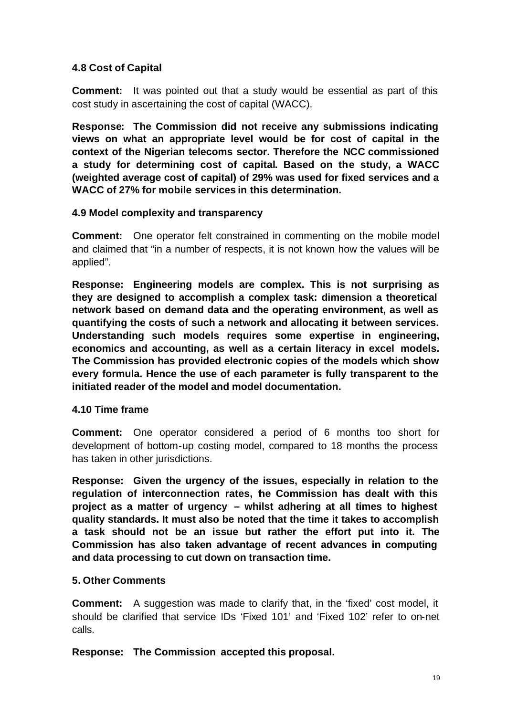# **4.8 Cost of Capital**

**Comment:** It was pointed out that a study would be essential as part of this cost study in ascertaining the cost of capital (WACC).

**Response: The Commission did not receive any submissions indicating views on what an appropriate level would be for cost of capital in the context of the Nigerian telecoms sector. Therefore the NCC commissioned a study for determining cost of capital. Based on the study, a WACC (weighted average cost of capital) of 29% was used for fixed services and a WACC of 27% for mobile services in this determination.**

### **4.9 Model complexity and transparency**

**Comment:** One operator felt constrained in commenting on the mobile model and claimed that "in a number of respects, it is not known how the values will be applied".

**Response: Engineering models are complex. This is not surprising as they are designed to accomplish a complex task: dimension a theoretical network based on demand data and the operating environment, as well as quantifying the costs of such a network and allocating it between services. Understanding such models requires some expertise in engineering, economics and accounting, as well as a certain literacy in excel models. The Commission has provided electronic copies of the models which show every formula. Hence the use of each parameter is fully transparent to the initiated reader of the model and model documentation.**

# **4.10 Time frame**

**Comment:** One operator considered a period of 6 months too short for development of bottom-up costing model, compared to 18 months the process has taken in other jurisdictions.

**Response: Given the urgency of the issues, especially in relation to the regulation of interconnection rates, the Commission has dealt with this project as a matter of urgency – whilst adhering at all times to highest quality standards. It must also be noted that the time it takes to accomplish a task should not be an issue but rather the effort put into it. The Commission has also taken advantage of recent advances in computing and data processing to cut down on transaction time.**

# **5. Other Comments**

**Comment:** A suggestion was made to clarify that, in the 'fixed' cost model, it should be clarified that service IDs 'Fixed 101' and 'Fixed 102' refer to on-net calls.

**Response: The Commission accepted this proposal.**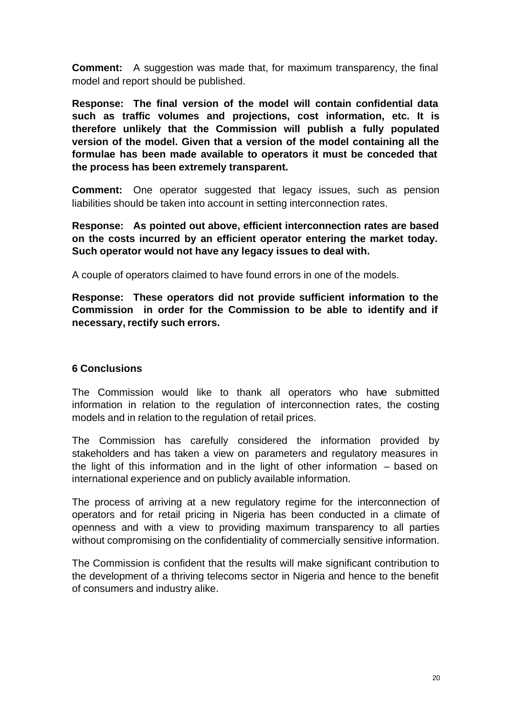**Comment:** A suggestion was made that, for maximum transparency, the final model and report should be published.

**Response: The final version of the model will contain confidential data such as traffic volumes and projections, cost information, etc. It is therefore unlikely that the Commission will publish a fully populated version of the model. Given that a version of the model containing all the formulae has been made available to operators it must be conceded that the process has been extremely transparent.**

**Comment:** One operator suggested that legacy issues, such as pension liabilities should be taken into account in setting interconnection rates.

**Response: As pointed out above, efficient interconnection rates are based on the costs incurred by an efficient operator entering the market today. Such operator would not have any legacy issues to deal with.**

A couple of operators claimed to have found errors in one of the models.

**Response: These operators did not provide sufficient information to the Commission in order for the Commission to be able to identify and if necessary, rectify such errors.**

#### **6 Conclusions**

The Commission would like to thank all operators who have submitted information in relation to the regulation of interconnection rates, the costing models and in relation to the regulation of retail prices.

The Commission has carefully considered the information provided by stakeholders and has taken a view on parameters and regulatory measures in the light of this information and in the light of other information – based on international experience and on publicly available information.

The process of arriving at a new regulatory regime for the interconnection of operators and for retail pricing in Nigeria has been conducted in a climate of openness and with a view to providing maximum transparency to all parties without compromising on the confidentiality of commercially sensitive information.

The Commission is confident that the results will make significant contribution to the development of a thriving telecoms sector in Nigeria and hence to the benefit of consumers and industry alike.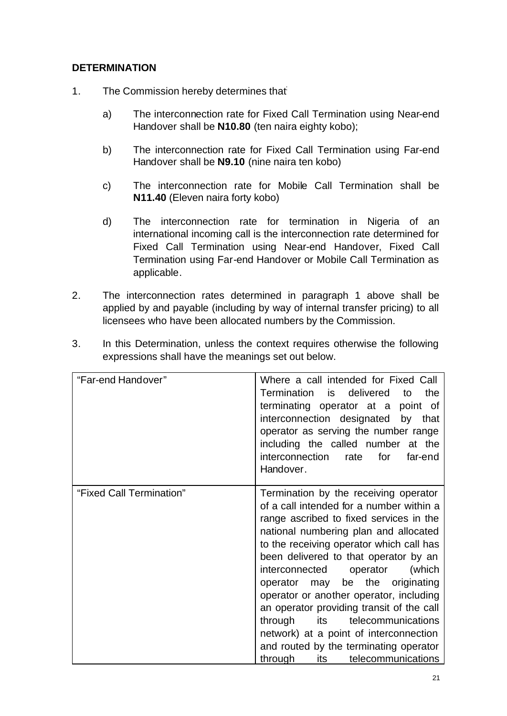# **DETERMINATION**

- 1. The Commission hereby determines that:
	- a) The interconnection rate for Fixed Call Termination using Near-end Handover shall be **N10.80** (ten naira eighty kobo);
	- b) The interconnection rate for Fixed Call Termination using Far-end Handover shall be **N9.10** (nine naira ten kobo)
	- c) The interconnection rate for Mobile Call Termination shall be **N11.40** (Eleven naira forty kobo)
	- d) The interconnection rate for termination in Nigeria of an international incoming call is the interconnection rate determined for Fixed Call Termination using Near-end Handover, Fixed Call Termination using Far-end Handover or Mobile Call Termination as applicable.
- 2. The interconnection rates determined in paragraph 1 above shall be applied by and payable (including by way of internal transfer pricing) to all licensees who have been allocated numbers by the Commission.

| "Far-end Handover"       | Where a call intended for Fixed Call<br>Termination is<br>the<br>delivered<br>to<br>terminating operator at a<br>point of<br>interconnection designated by<br>that<br>operator as serving the number range<br>including the called number at the<br>interconnection rate<br>for<br>far-end<br>Handover.                                                                                                                                                                                                                                                                                           |  |  |  |  |  |
|--------------------------|---------------------------------------------------------------------------------------------------------------------------------------------------------------------------------------------------------------------------------------------------------------------------------------------------------------------------------------------------------------------------------------------------------------------------------------------------------------------------------------------------------------------------------------------------------------------------------------------------|--|--|--|--|--|
| "Fixed Call Termination" | Termination by the receiving operator<br>of a call intended for a number within a<br>range ascribed to fixed services in the<br>national numbering plan and allocated<br>to the receiving operator which call has<br>been delivered to that operator by an<br>interconnected operator<br>(which<br>may be the originating<br>operator<br>operator or another operator, including<br>an operator providing transit of the call<br>telecommunications<br>through<br>its<br>network) at a point of interconnection<br>and routed by the terminating operator<br>its<br>telecommunications<br>through |  |  |  |  |  |

3. In this Determination, unless the context requires otherwise the following expressions shall have the meanings set out below.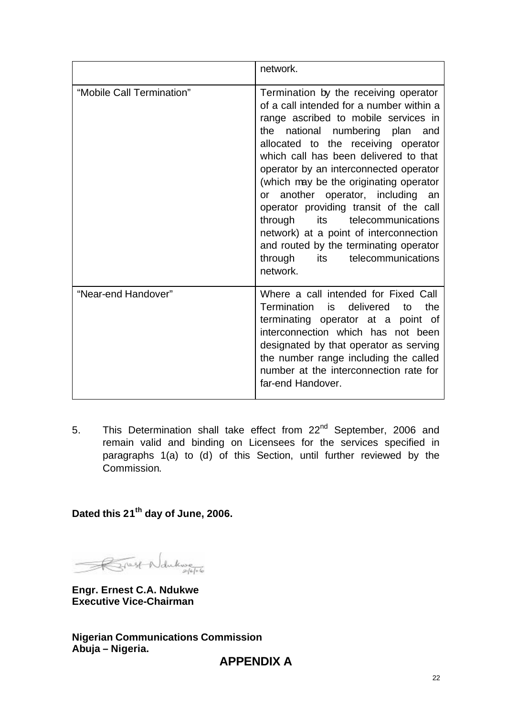|                           | network.                                                                                                                                                                                                                                                                                                                                                                                                                                                                                                                                                                               |  |  |  |  |  |  |
|---------------------------|----------------------------------------------------------------------------------------------------------------------------------------------------------------------------------------------------------------------------------------------------------------------------------------------------------------------------------------------------------------------------------------------------------------------------------------------------------------------------------------------------------------------------------------------------------------------------------------|--|--|--|--|--|--|
| "Mobile Call Termination" | Termination by the receiving operator<br>of a call intended for a number within a<br>range ascribed to mobile services in<br>the national numbering plan and<br>allocated to the receiving operator<br>which call has been delivered to that<br>operator by an interconnected operator<br>(which may be the originating operator<br>or another operator, including an<br>operator providing transit of the call<br>its telecommunications<br>through<br>network) at a point of interconnection<br>and routed by the terminating operator<br>through its telecommunications<br>network. |  |  |  |  |  |  |
| "Near-end Handover"       | Where a call intended for Fixed Call<br>Termination is<br>delivered<br>the<br>to<br>terminating operator at a<br>point of<br>interconnection which has not been<br>designated by that operator as serving<br>the number range including the called<br>number at the interconnection rate for<br>far-end Handover.                                                                                                                                                                                                                                                                      |  |  |  |  |  |  |

5. This Determination shall take effect from 22<sup>nd</sup> September, 2006 and remain valid and binding on Licensees for the services specified in paragraphs 1(a) to (d) of this Section, until further reviewed by the Commission.

Dated this 21<sup>th</sup> day of June, 2006.

Frest Ndukwe

**Engr. Ernest C.A. Ndukwe Executive Vice-Chairman**

**Nigerian Communications Commission Abuja – Nigeria.**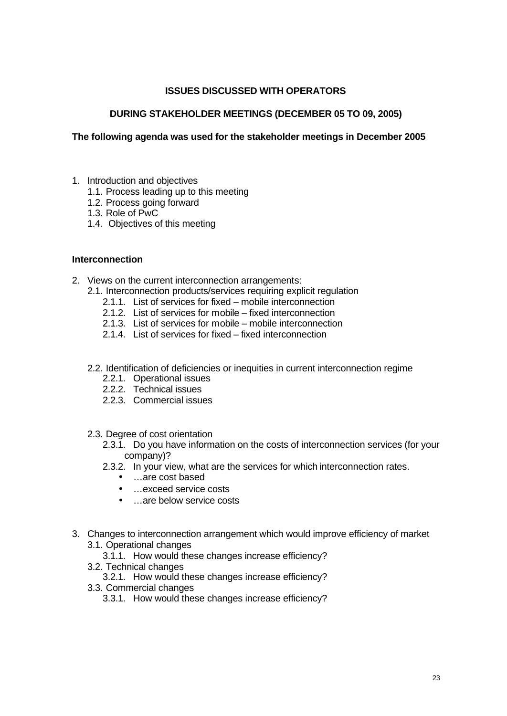#### **ISSUES DISCUSSED WITH OPERATORS**

#### **DURING STAKEHOLDER MEETINGS (DECEMBER 05 TO 09, 2005)**

#### **The following agenda was used for the stakeholder meetings in December 2005**

- 1. Introduction and objectives
	- 1.1. Process leading up to this meeting
	- 1.2. Process going forward
	- 1.3. Role of PwC
	- 1.4. Objectives of this meeting

#### **Interconnection**

- 2. Views on the current interconnection arrangements:
	- 2.1. Interconnection products/services requiring explicit regulation
		- 2.1.1. List of services for fixed mobile interconnection
		- 2.1.2. List of services for mobile fixed interconnection
		- 2.1.3. List of services for mobile mobile interconnection
		- 2.1.4. List of services for fixed fixed interconnection
	- 2.2. Identification of deficiencies or inequities in current interconnection regime
		- 2.2.1. Operational issues
		- 2.2.2. Technical issues
		- 2.2.3. Commercial issues
	- 2.3. Degree of cost orientation
		- 2.3.1. Do you have information on the costs of interconnection services (for your company)?
		- 2.3.2. In your view, what are the services for which interconnection rates.
			- …are cost based
			- …exceed service costs
			- …are below service costs
- 3. Changes to interconnection arrangement which would improve efficiency of market
	- 3.1. Operational changes
		- 3.1.1. How would these changes increase efficiency?
	- 3.2. Technical changes
		- 3.2.1. How would these changes increase efficiency?
	- 3.3. Commercial changes
		- 3.3.1. How would these changes increase efficiency?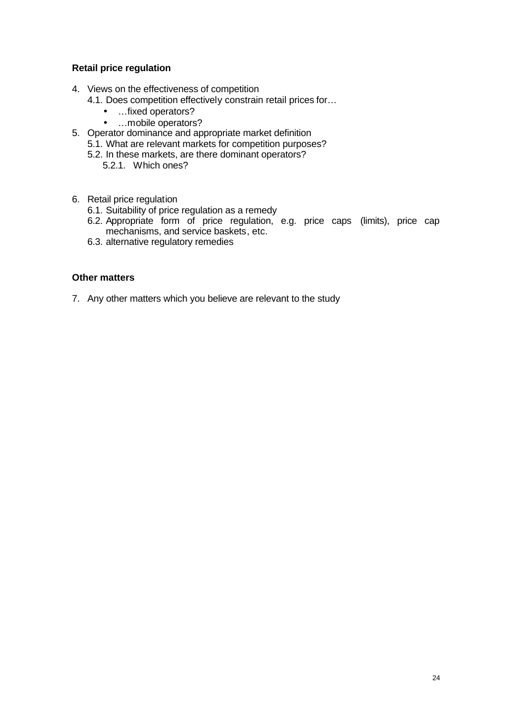#### **Retail price regulation**

- 4. Views on the effectiveness of competition
	- 4.1. Does competition effectively constrain retail prices for…
		- …fixed operators?
		- …mobile operators?
- 5. Operator dominance and appropriate market definition
	- 5.1. What are relevant markets for competition purposes?
	- 5.2. In these markets, are there dominant operators?
		- 5.2.1. Which ones?
- 6. Retail price regulation
	- 6.1. Suitability of price regulation as a remedy
	- 6.2. Appropriate form of price regulation, e.g. price caps (limits), price cap mechanisms, and service baskets, etc.
	- 6.3. alternative regulatory remedies

#### **Other matters**

7. Any other matters which you believe are relevant to the study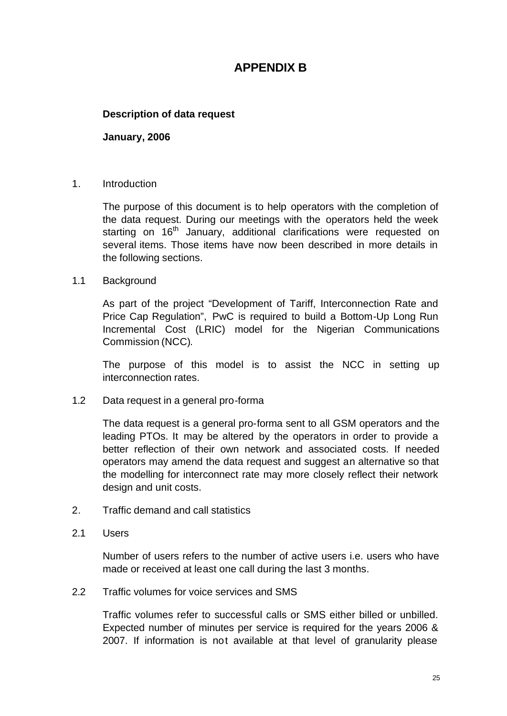# **APPENDIX B**

### **Description of data request**

**January, 2006**

#### 1. Introduction

The purpose of this document is to help operators with the completion of the data request. During our meetings with the operators held the week starting on 16<sup>th</sup> January, additional clarifications were requested on several items. Those items have now been described in more details in the following sections.

#### 1.1 Background

As part of the project "Development of Tariff, Interconnection Rate and Price Cap Regulation", PwC is required to build a Bottom-Up Long Run Incremental Cost (LRIC) model for the Nigerian Communications Commission (NCC).

The purpose of this model is to assist the NCC in setting up interconnection rates.

1.2 Data request in a general pro-forma

The data request is a general pro-forma sent to all GSM operators and the leading PTOs. It may be altered by the operators in order to provide a better reflection of their own network and associated costs. If needed operators may amend the data request and suggest an alternative so that the modelling for interconnect rate may more closely reflect their network design and unit costs.

- 2. Traffic demand and call statistics
- 2.1 Users

Number of users refers to the number of active users i.e. users who have made or received at least one call during the last 3 months.

2.2 Traffic volumes for voice services and SMS

Traffic volumes refer to successful calls or SMS either billed or unbilled. Expected number of minutes per service is required for the years 2006 & 2007. If information is not available at that level of granularity please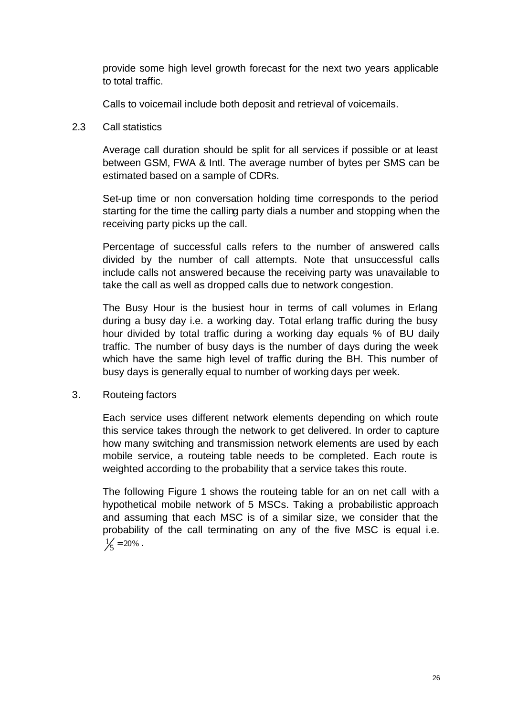provide some high level growth forecast for the next two years applicable to total traffic.

Calls to voicemail include both deposit and retrieval of voicemails.

#### 2.3 Call statistics

Average call duration should be split for all services if possible or at least between GSM, FWA & Intl. The average number of bytes per SMS can be estimated based on a sample of CDRs.

Set-up time or non conversation holding time corresponds to the period starting for the time the calling party dials a number and stopping when the receiving party picks up the call.

Percentage of successful calls refers to the number of answered calls divided by the number of call attempts. Note that unsuccessful calls include calls not answered because the receiving party was unavailable to take the call as well as dropped calls due to network congestion.

The Busy Hour is the busiest hour in terms of call volumes in Erlang during a busy day i.e. a working day. Total erlang traffic during the busy hour divided by total traffic during a working day equals % of BU daily traffic. The number of busy days is the number of days during the week which have the same high level of traffic during the BH. This number of busy days is generally equal to number of working days per week.

# 3. Routeing factors

Each service uses different network elements depending on which route this service takes through the network to get delivered. In order to capture how many switching and transmission network elements are used by each mobile service, a routeing table needs to be completed. Each route is weighted according to the probability that a service takes this route.

The following Figure 1 shows the routeing table for an on net call with a hypothetical mobile network of 5 MSCs. Taking a probabilistic approach and assuming that each MSC is of a similar size, we consider that the probability of the call terminating on any of the five MSC is equal i.e.  $\frac{1}{5} = 20\%$ .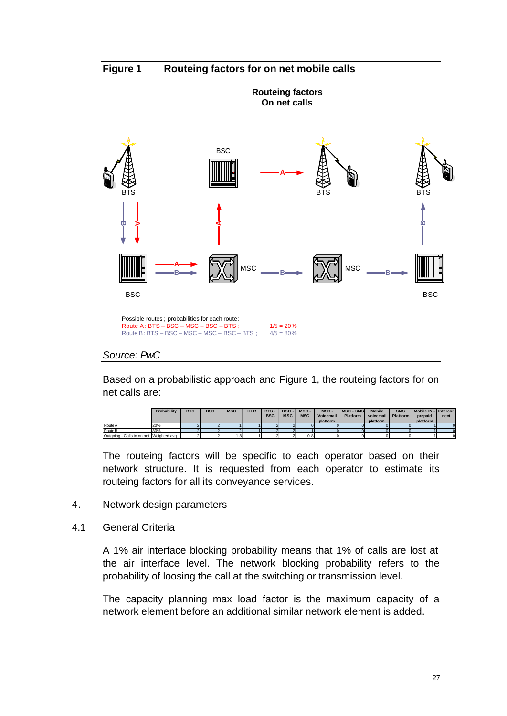**Figure 1 Routeing factors for on net mobile calls**



Based on a probabilistic approach and Figure 1, the routeing factors for on net calls are:

|                                         | Probability | <b>BTS</b> | <b>BSC</b> | <b>MSC</b> | <b>HLR</b> | <b>BTS</b><br><b>BSC</b> | <b>BSC</b><br><b>MSC</b> | MSC-<br><b>MSC</b> | MSC-<br>Voicemail<br>platform | <b>MSC - SMS</b><br><b>Platform</b> | <b>Mobile</b><br>voicemail<br>platform | <b>SMS</b><br><b>Platform</b> | Mobile IN - Intercon<br>prepaid<br>platform | nect |
|-----------------------------------------|-------------|------------|------------|------------|------------|--------------------------|--------------------------|--------------------|-------------------------------|-------------------------------------|----------------------------------------|-------------------------------|---------------------------------------------|------|
| Route A                                 | 20%         |            |            |            |            |                          |                          |                    |                               |                                     |                                        |                               |                                             |      |
| Route B                                 | 80%         |            |            |            |            |                          |                          |                    |                               |                                     |                                        |                               |                                             |      |
| Outgoing - Calls to on net Weighted avg |             |            |            | .8         |            |                          |                          | 0.8                |                               |                                     |                                        |                               |                                             |      |

The routeing factors will be specific to each operator based on their network structure. It is requested from each operator to estimate its routeing factors for all its conveyance services.

- 4. Network design parameters
- 4.1 General Criteria

A 1% air interface blocking probability means that 1% of calls are lost at the air interface level. The network blocking probability refers to the probability of loosing the call at the switching or transmission level.

The capacity planning max load factor is the maximum capacity of a network element before an additional similar network element is added.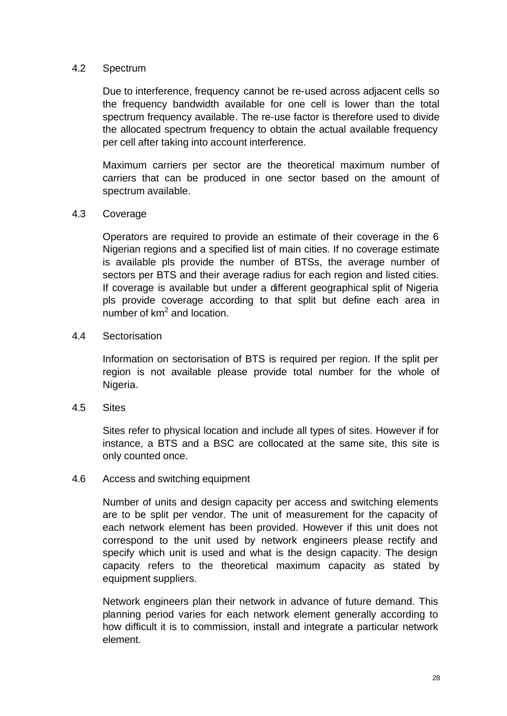#### 4.2 Spectrum

Due to interference, frequency cannot be re-used across adjacent cells so the frequency bandwidth available for one cell is lower than the total spectrum frequency available. The re-use factor is therefore used to divide the allocated spectrum frequency to obtain the actual available frequency per cell after taking into account interference.

Maximum carriers per sector are the theoretical maximum number of carriers that can be produced in one sector based on the amount of spectrum available.

### 4.3 Coverage

Operators are required to provide an estimate of their coverage in the 6 Nigerian regions and a specified list of main cities. If no coverage estimate is available pls provide the number of BTSs, the average number of sectors per BTS and their average radius for each region and listed cities. If coverage is available but under a different geographical split of Nigeria pls provide coverage according to that split but define each area in number of km<sup>2</sup> and location.

#### 4.4 Sectorisation

Information on sectorisation of BTS is required per region. If the split per region is not available please provide total number for the whole of Nigeria.

4.5 Sites

Sites refer to physical location and include all types of sites. However if for instance, a BTS and a BSC are collocated at the same site, this site is only counted once.

#### 4.6 Access and switching equipment

Number of units and design capacity per access and switching elements are to be split per vendor. The unit of measurement for the capacity of each network element has been provided. However if this unit does not correspond to the unit used by network engineers please rectify and specify which unit is used and what is the design capacity. The design capacity refers to the theoretical maximum capacity as stated by equipment suppliers.

Network engineers plan their network in advance of future demand. This planning period varies for each network element generally according to how difficult it is to commission, install and integrate a particular network element.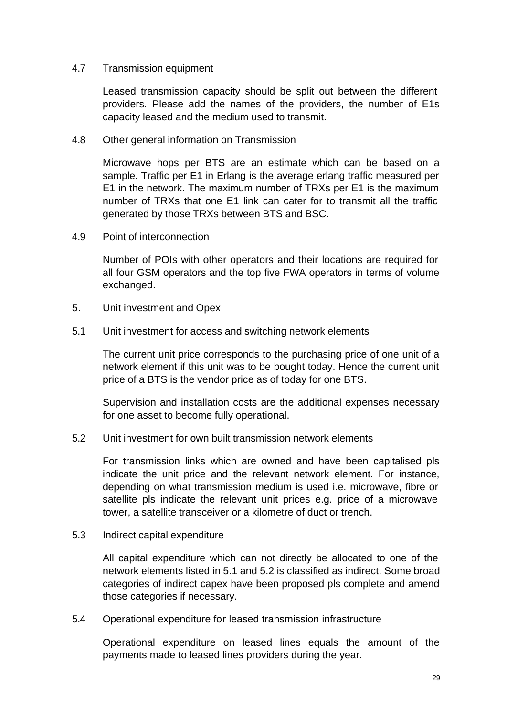#### 4.7 Transmission equipment

Leased transmission capacity should be split out between the different providers. Please add the names of the providers, the number of E1s capacity leased and the medium used to transmit.

#### 4.8 Other general information on Transmission

Microwave hops per BTS are an estimate which can be based on a sample. Traffic per E1 in Erlang is the average erlang traffic measured per E1 in the network. The maximum number of TRXs per E1 is the maximum number of TRXs that one E1 link can cater for to transmit all the traffic generated by those TRXs between BTS and BSC.

4.9 Point of interconnection

Number of POIs with other operators and their locations are required for all four GSM operators and the top five FWA operators in terms of volume exchanged.

- 5. Unit investment and Opex
- 5.1 Unit investment for access and switching network elements

The current unit price corresponds to the purchasing price of one unit of a network element if this unit was to be bought today. Hence the current unit price of a BTS is the vendor price as of today for one BTS.

Supervision and installation costs are the additional expenses necessary for one asset to become fully operational.

5.2 Unit investment for own built transmission network elements

For transmission links which are owned and have been capitalised pls indicate the unit price and the relevant network element. For instance, depending on what transmission medium is used i.e. microwave, fibre or satellite pls indicate the relevant unit prices e.g. price of a microwave tower, a satellite transceiver or a kilometre of duct or trench.

5.3 Indirect capital expenditure

All capital expenditure which can not directly be allocated to one of the network elements listed in 5.1 and 5.2 is classified as indirect. Some broad categories of indirect capex have been proposed pls complete and amend those categories if necessary.

5.4 Operational expenditure for leased transmission infrastructure

Operational expenditure on leased lines equals the amount of the payments made to leased lines providers during the year.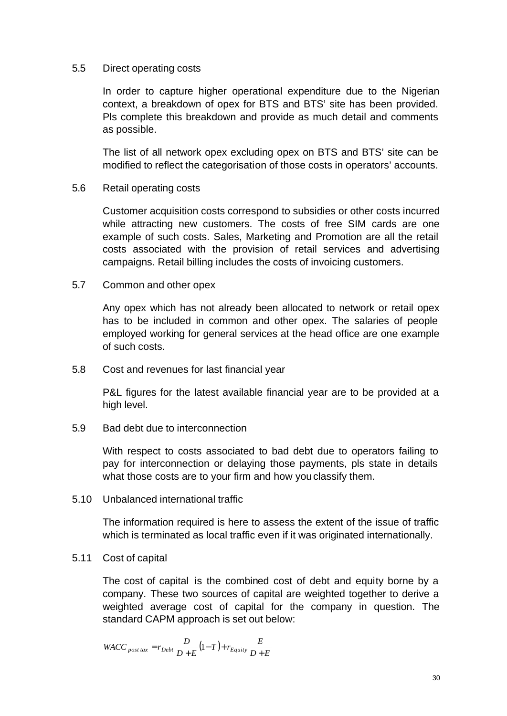#### 5.5 Direct operating costs

In order to capture higher operational expenditure due to the Nigerian context, a breakdown of opex for BTS and BTS' site has been provided. Pls complete this breakdown and provide as much detail and comments as possible.

The list of all network opex excluding opex on BTS and BTS' site can be modified to reflect the categorisation of those costs in operators' accounts.

#### 5.6 Retail operating costs

Customer acquisition costs correspond to subsidies or other costs incurred while attracting new customers. The costs of free SIM cards are one example of such costs. Sales, Marketing and Promotion are all the retail costs associated with the provision of retail services and advertising campaigns. Retail billing includes the costs of invoicing customers.

#### 5.7 Common and other opex

Any opex which has not already been allocated to network or retail opex has to be included in common and other opex. The salaries of people employed working for general services at the head office are one example of such costs.

5.8 Cost and revenues for last financial year

P&L figures for the latest available financial year are to be provided at a high level.

5.9 Bad debt due to interconnection

With respect to costs associated to bad debt due to operators failing to pay for interconnection or delaying those payments, pls state in details what those costs are to your firm and how you classify them.

5.10 Unbalanced international traffic

The information required is here to assess the extent of the issue of traffic which is terminated as local traffic even if it was originated internationally.

#### 5.11 Cost of capital

The cost of capital is the combined cost of debt and equity borne by a company. These two sources of capital are weighted together to derive a weighted average cost of capital for the company in question. The standard CAPM approach is set out below:

$$
WACC_{\it post\,tax}=r_{Debt} \frac{D}{D+E} \big(1-T\big)+r_{Equity} \frac{E}{D+E}
$$